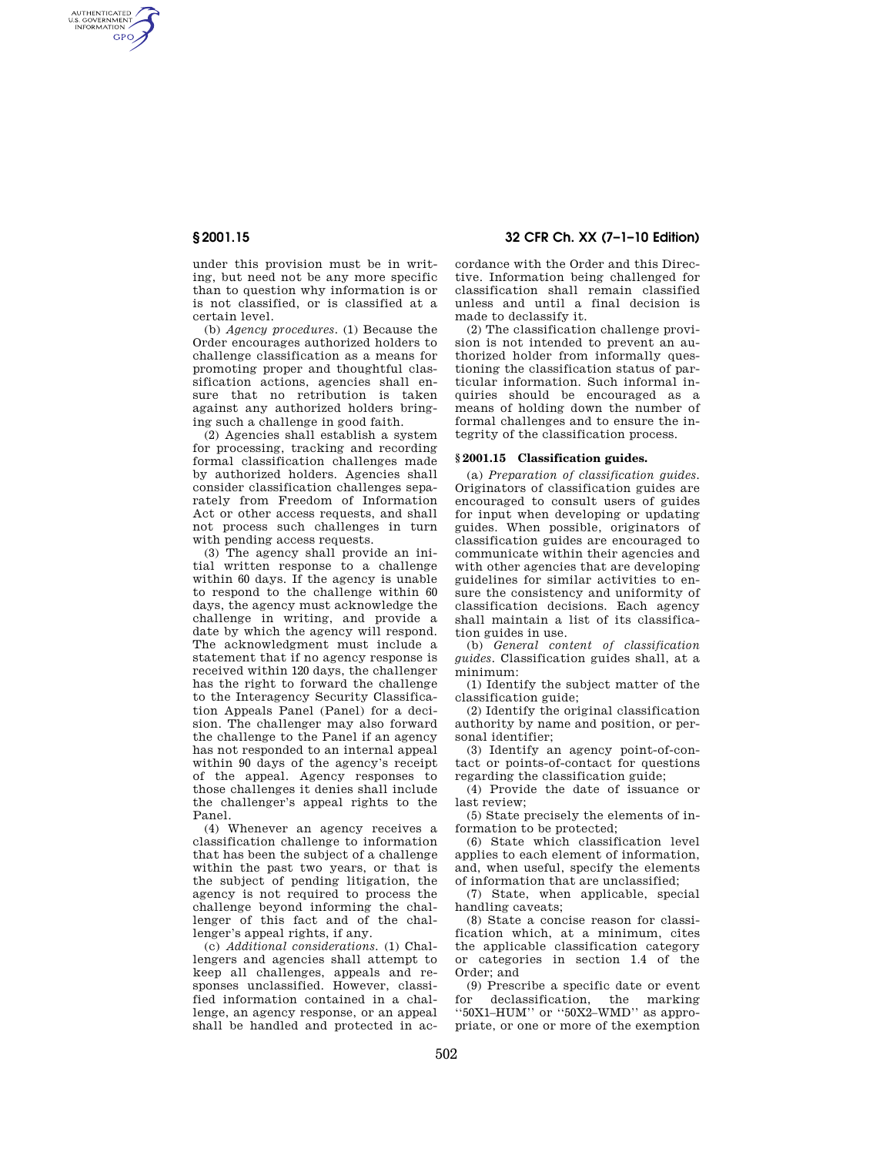AUTHENTICATED<br>U.S. GOVERNMENT<br>INFORMATION **GPO** 

> under this provision must be in writing, but need not be any more specific than to question why information is or is not classified, or is classified at a certain level.

(b) *Agency procedures.* (1) Because the Order encourages authorized holders to challenge classification as a means for promoting proper and thoughtful classification actions, agencies shall ensure that no retribution is taken against any authorized holders bringing such a challenge in good faith.

(2) Agencies shall establish a system for processing, tracking and recording formal classification challenges made by authorized holders. Agencies shall consider classification challenges separately from Freedom of Information Act or other access requests, and shall not process such challenges in turn with pending access requests.

(3) The agency shall provide an initial written response to a challenge within 60 days. If the agency is unable to respond to the challenge within 60 days, the agency must acknowledge the challenge in writing, and provide a date by which the agency will respond. The acknowledgment must include a statement that if no agency response is received within 120 days, the challenger has the right to forward the challenge to the Interagency Security Classification Appeals Panel (Panel) for a decision. The challenger may also forward the challenge to the Panel if an agency has not responded to an internal appeal within 90 days of the agency's receipt of the appeal. Agency responses to those challenges it denies shall include the challenger's appeal rights to the Panel.

(4) Whenever an agency receives a classification challenge to information that has been the subject of a challenge within the past two years, or that is the subject of pending litigation, the agency is not required to process the challenge beyond informing the challenger of this fact and of the challenger's appeal rights, if any.

(c) *Additional considerations.* (1) Challengers and agencies shall attempt to keep all challenges, appeals and responses unclassified. However, classified information contained in a challenge, an agency response, or an appeal shall be handled and protected in ac-

**§ 2001.15 32 CFR Ch. XX (7–1–10 Edition)** 

cordance with the Order and this Directive. Information being challenged for classification shall remain classified unless and until a final decision is made to declassify it.

(2) The classification challenge provision is not intended to prevent an authorized holder from informally questioning the classification status of particular information. Such informal inquiries should be encouraged as a means of holding down the number of formal challenges and to ensure the integrity of the classification process.

## **§ 2001.15 Classification guides.**

(a) *Preparation of classification guides.*  Originators of classification guides are encouraged to consult users of guides for input when developing or updating guides. When possible, originators of classification guides are encouraged to communicate within their agencies and with other agencies that are developing guidelines for similar activities to ensure the consistency and uniformity of classification decisions. Each agency shall maintain a list of its classification guides in use.

(b) *General content of classification guides.* Classification guides shall, at a minimum:

(1) Identify the subject matter of the classification guide;

(2) Identify the original classification authority by name and position, or personal identifier;

(3) Identify an agency point-of-contact or points-of-contact for questions regarding the classification guide;

(4) Provide the date of issuance or last review;

(5) State precisely the elements of information to be protected;

(6) State which classification level applies to each element of information, and, when useful, specify the elements of information that are unclassified;

(7) State, when applicable, special handling caveats;

(8) State a concise reason for classification which, at a minimum, cites the applicable classification category or categories in section 1.4 of the Order; and

(9) Prescribe a specific date or event for declassification, the marking ''50X1–HUM'' or ''50X2–WMD'' as appropriate, or one or more of the exemption